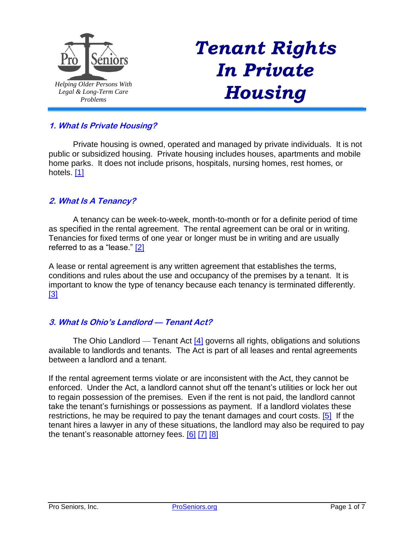

# *Tenant Rights In Private Housing*

# **1. What Is Private Housing?**

<span id="page-0-0"></span>Private housing is owned, operated and managed by private individuals. It is not public or subsidized housing. Private housing includes houses, apartments and mobile home parks. It does not include prisons, hospitals, nursing homes, rest homes, or hotels. [\[1\]](#page-4-0)

## **2. What Is A Tenancy?**

A tenancy can be week-to-week, month-to-month or for a definite period of time as specified in the rental agreement. The rental agreement can be oral or in writing. Tenancies for fixed terms of one year or longer must be in writing and are usually referred to as a "lease." [\[2\]](#page-4-1)

<span id="page-0-2"></span><span id="page-0-1"></span>A lease or rental agreement is any written agreement that establishes the terms, conditions and rules about the use and occupancy of the premises by a tenant. It is important to know the type of tenancy because each tenancy is terminated differently. [\[3\]](#page-4-2)

#### **3. What Is Ohio's Landlord — Tenant Act?**

<span id="page-0-3"></span>The Ohio Landlord — Tenant Act  $[4]$  governs all rights, obligations and solutions available to landlords and tenants. The Act is part of all leases and rental agreements between a landlord and a tenant.

<span id="page-0-5"></span><span id="page-0-4"></span>If the rental agreement terms violate or are inconsistent with the Act, they cannot be enforced. Under the Act, a landlord cannot shut off the tenant's utilities or lock her out to regain possession of the premises. Even if the rent is not paid, the landlord cannot take the tenant's furnishings or possessions as payment. If a landlord violates these restrictions, he may be required to pay the tenant damages and court costs. [\[5\]](#page-4-4) If the tenant hires a lawyer in any of these situations, the landlord may also be required to pay the tenant's reasonable attorney fees. [\[6\]](#page-4-5) [\[7\]](#page-4-6) [\[8\]](#page-5-0)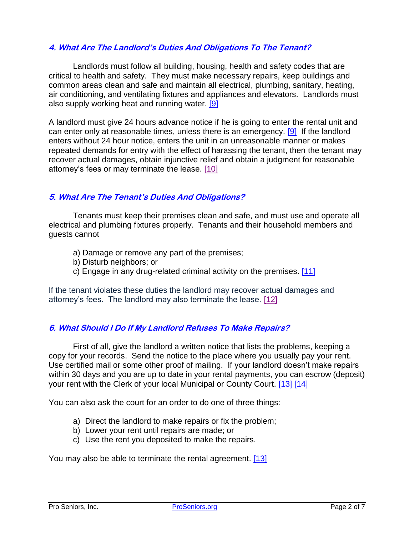## **4. What Are The Landlord's Duties And Obligations To The Tenant?**

Landlords must follow all building, housing, health and safety codes that are critical to health and safety. They must make necessary repairs, keep buildings and common areas clean and safe and maintain all electrical, plumbing, sanitary, heating, air conditioning, and ventilating fixtures and appliances and elevators. Landlords must also supply working heat and running water. [\[9\]](#page-5-1)

<span id="page-1-0"></span>A landlord must give 24 hours advance notice if he is going to enter the rental unit and can enter only at reasonable times, unless there is an emergency. [\[9\]](#page-5-1) If the landlord enters without 24 hour notice, enters the unit in an unreasonable manner or makes repeated demands for entry with the effect of harassing the tenant, then the tenant may recover actual damages, obtain injunctive relief and obtain a judgment for reasonable attorney's fees or may terminate the lease. [\[10\]](#page-5-2)

## **5. What Are The Tenant's Duties And Obligations?**

Tenants must keep their premises clean and safe, and must use and operate all electrical and plumbing fixtures properly. Tenants and their household members and guests cannot

- <span id="page-1-1"></span>a) Damage or remove any part of the premises;
- b) Disturb neighbors; or
- <span id="page-1-3"></span><span id="page-1-2"></span>c) Engage in any drug-related criminal activity on the premises. [\[11\]](#page-5-3)

If the tenant violates these duties the landlord may recover actual damages and attorney's fees. The landlord may also terminate the lease. [\[12\]](#page-5-4)

#### **6. What Should I Do If My Landlord Refuses To Make Repairs?**

First of all, give the landlord a written notice that lists the problems, keeping a copy for your records. Send the notice to the place where you usually pay your rent. Use certified mail or some other proof of mailing. If your landlord doesn't make repairs within 30 days and you are up to date in your rental payments, you can escrow (deposit) your rent with the Clerk of your local Municipal or County Court. [\[13\]](#page-5-5) [\[14\]](#page-5-6)

You can also ask the court for an order to do one of three things:

- <span id="page-1-4"></span>a) Direct the landlord to make repairs or fix the problem;
- b) Lower your rent until repairs are made; or
- c) Use the rent you deposited to make the repairs.

You may also be able to terminate the rental agreement. [\[13\]](#page-5-5)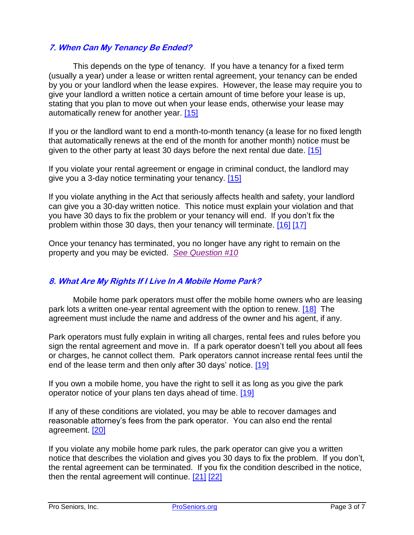## **7. When Can My Tenancy Be Ended?**

This depends on the type of tenancy. If you have a tenancy for a fixed term (usually a year) under a lease or written rental agreement, your tenancy can be ended by you or your landlord when the lease expires. However, the lease may require you to give your landlord a written notice a certain amount of time before your lease is up, stating that you plan to move out when your lease ends, otherwise your lease may automatically renew for another year. [\[15\]](#page-5-7)

<span id="page-2-0"></span>If you or the landlord want to end a month-to-month tenancy (a lease for no fixed length that automatically renews at the end of the month for another month) notice must be given to the other party at least 30 days before the next rental due date. [\[15\]](#page-5-7)

If you violate your rental agreement or engage in criminal conduct, the landlord may give you a 3-day notice terminating your tenancy. [\[15\]](#page-5-7)

If you violate anything in the Act that seriously affects health and safety, your landlord can give you a 30-day written notice. This notice must explain your violation and that you have 30 days to fix the problem or your tenancy will end. If you don't fix the problem within those 30 days, then your tenancy will terminate. [\[16\]](#page-5-8) [\[17\]](#page-5-9)

<span id="page-2-1"></span>Once your tenancy has terminated, you no longer have any right to remain on the property and you may be evicted. *[See Question #10](#page-3-0)*

# **8. What Are My Rights If I Live In A Mobile Home Park?**

<span id="page-2-2"></span>Mobile home park operators must offer the mobile home owners who are leasing park lots a written one-year rental agreement with the option to renew. [\[18\]](#page-5-10) The agreement must include the name and address of the owner and his agent, if any.

Park operators must fully explain in writing all charges, rental fees and rules before you sign the rental agreement and move in. If a park operator doesn't tell you about all fees or charges, he cannot collect them. Park operators cannot increase rental fees until the end of the lease term and then only after 30 days' notice. [\[19\]](#page-5-11)

<span id="page-2-3"></span>If you own a mobile home, you have the right to sell it as long as you give the park operator notice of your plans ten days ahead of time. [\[19\]](#page-5-11)

<span id="page-2-4"></span>If any of these conditions are violated, you may be able to recover damages and reasonable attorney's fees from the park operator. You can also end the rental agreement. [\[20\]](#page-5-12)

<span id="page-2-5"></span>If you violate any mobile home park rules, the park operator can give you a written notice that describes the violation and gives you 30 days to fix the problem. If you don't, the rental agreement can be terminated. If you fix the condition described in the notice, then the rental agreement will continue. [\[21\]](#page-5-13) [\[22\]](#page-5-14)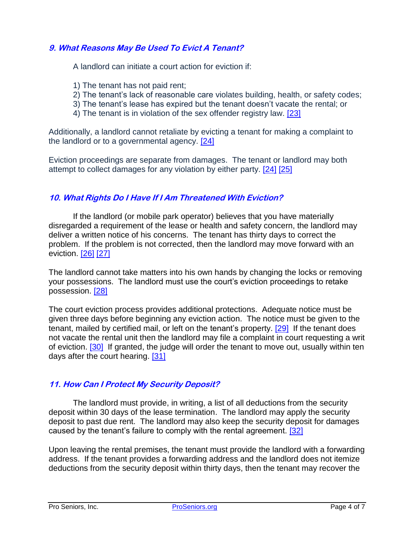## **9. What Reasons May Be Used To Evict A Tenant?**

A landlord can initiate a court action for eviction if:

- 1) The tenant has not paid rent;
- 2) The tenant's lack of reasonable care violates building, health, or safety codes;
- 3) The tenant's lease has expired but the tenant doesn't vacate the rental; or
- <span id="page-3-3"></span><span id="page-3-2"></span><span id="page-3-1"></span>4) The tenant is in violation of the sex offender registry law. [\[23\]](#page-5-15)

Additionally, a landlord cannot retaliate by evicting a tenant for making a complaint to the landlord or to a governmental agency. [\[24\]](#page-5-16)

Eviction proceedings are separate from damages. The tenant or landlord may both attempt to collect damages for any violation by either party. [\[24\]](#page-5-16) [\[25\]](#page-5-17)

# <span id="page-3-0"></span>**10. What Rights Do I Have If I Am Threatened With Eviction?**

If the landlord (or mobile park operator) believes that you have materially disregarded a requirement of the lease or health and safety concern, the landlord may deliver a written notice of his concerns. The tenant has thirty days to correct the problem. If the problem is not corrected, then the landlord may move forward with an eviction. [\[26\]](#page-5-18) [\[27\]](#page-5-19)

<span id="page-3-5"></span><span id="page-3-4"></span>The landlord cannot take matters into his own hands by changing the locks or removing your possessions. The landlord must use the court's eviction proceedings to retake possession. [\[28\]](#page-5-20)

<span id="page-3-6"></span>The court eviction process provides additional protections. Adequate notice must be given three days before beginning any eviction action. The notice must be given to the tenant, mailed by certified mail, or left on the tenant's property. [\[29\]](#page-5-21) If the tenant does not vacate the rental unit then the landlord may file a complaint in court requesting a writ of eviction. [\[30\]](#page-5-22) If granted, the judge will order the tenant to move out, usually within ten days after the court hearing. [\[31\]](#page-5-23)

#### <span id="page-3-8"></span><span id="page-3-7"></span>**11. How Can I Protect My Security Deposit?**

The landlord must provide, in writing, a list of all deductions from the security deposit within 30 days of the lease termination. The landlord may apply the security deposit to past due rent. The landlord may also keep the security deposit for damages caused by the tenant's failure to comply with the rental agreement. [\[32\]](#page-6-0)

<span id="page-3-9"></span>Upon leaving the rental premises, the tenant must provide the landlord with a forwarding address. If the tenant provides a forwarding address and the landlord does not itemize deductions from the security deposit within thirty days, then the tenant may recover the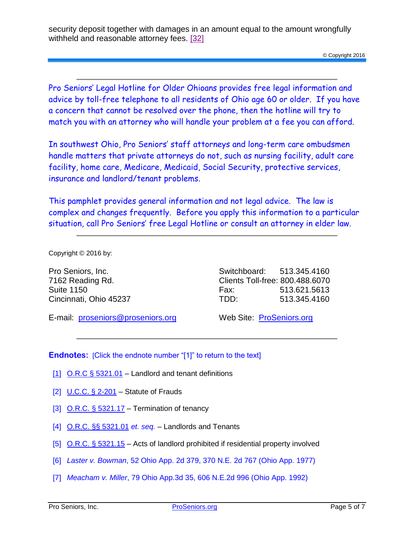security deposit together with damages in an amount equal to the amount wrongfully withheld and reasonable attorney fees. [\[32\]](#page-6-0)

Pro Seniors' Legal Hotline for Older Ohioans provides free legal information and advice by toll-free telephone to all residents of Ohio age 60 or older. If you have a concern that cannot be resolved over the phone, then the hotline will try to match you with an attorney who will handle your problem at a fee you can afford.

In southwest Ohio, Pro Seniors' staff attorneys and long-term care ombudsmen handle matters that private attorneys do not, such as nursing facility, adult care facility, home care, Medicare, Medicaid, Social Security, protective services, insurance and landlord/tenant problems.

This pamphlet provides general information and not legal advice. The law is complex and changes frequently. Before you apply this information to a particular situation, call Pro Seniors' free Legal Hotline or consult an attorney in elder law.

Copyright © 2016 by:

Pro Seniors, Inc. 7162 Reading Rd. Suite 1150 Cincinnati, Ohio 45237

Switchboard: 513.345.4160 Clients Toll-free: 800.488.6070 Fax: 513.621.5613 TDD: 513.345.4160

E-mail: [proseniors@proseniors.org](mailto:proseniors@proseniors.org)

Web Site: [ProSeniors.org](http://www.proseniors.org/)

**Endnotes:** [Click the endnote number "[1]" to return to the text]

- <span id="page-4-0"></span>[\[1\]](#page-0-0) O.R.C  $\S$  5321.01 – Landlord and tenant definitions
- <span id="page-4-1"></span>[\[2\]](#page-0-1) U.C.C. [§ 2-201](http://www.law.cornell.edu/ucc/2/2-201) – Statute of Frauds
- <span id="page-4-2"></span>[\[3\]](#page-0-2)  $Q.R.C. § 5321.17 - Termination of tenancy$  $Q.R.C. § 5321.17 - Termination of tenancy$  $Q.R.C. § 5321.17 - Termination of tenancy$
- <span id="page-4-3"></span>[\[4\]](#page-0-3) O.R.C. [§§ 5321.01](http://codes.ohio.gov/orc/5321) *et. seq.* – Landlords and Tenants
- <span id="page-4-4"></span>[\[5\]](#page-0-4) O.R.C. [§ 5321.15](http://codes.ohio.gov/orc/5321.15) – Acts of landlord prohibited if residential property involved
- <span id="page-4-5"></span>[\[6\]](#page-0-5) *[Laster v. Bowman](http://www.leagle.com/decision/197743152OhioApp2d379_1375.xml/LASTER%20v.%20BOWMAN)*, 52 Ohio App. 2d 379, 370 N.E. 2d 767 (Ohio App. 1977)
- <span id="page-4-6"></span>[\[7\]](#page-0-5) *[Meacham v. Miller](http://www.leagle.com/decision/199211479OhioApp3d35_1112.xml/MEACHAM%20v.%20MILLER)*, 79 Ohio App.3d 35, 606 N.E.2d 996 (Ohio App. 1992)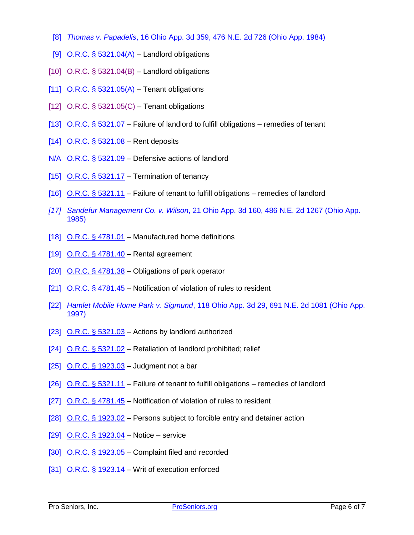- <span id="page-5-0"></span>[\[8\]](#page-0-5) *[Thomas v. Papadelis](http://www.leagletax.com/decision/198437516OhioApp3d359_1286.xml/THOMAS%20v.%20PAPADELIShttp:/www.leagletax.com/decision/198437516OhioApp3d359_1286.xml/THOMAS%20v.%20PAPADELIS)*, 16 Ohio App. 3d 359, 476 N.E. 2d 726 (Ohio App. 1984)
- <span id="page-5-1"></span>[\[9\]](#page-1-0) O.R.C.  $\S$  5321.04(A) – Landlord obligations
- <span id="page-5-2"></span> $[10]$  O.R.C. [§ 5321.04\(B\)](http://codes.ohio.gov/orc/5321.04) – Landlord obligations
- <span id="page-5-3"></span>[\[11\]](#page-1-2) O.R.C.  $\S$  5321.05(A) – Tenant obligations
- <span id="page-5-4"></span>[\[12\]](#page-1-3) O.R.C. [§ 5321.05\(C\)](http://codes.ohio.gov/orc/5321.05) – Tenant obligations
- <span id="page-5-5"></span>[\[13\]](#page-1-4) O.R.C. [§ 5321.07](http://codes.ohio.gov/orc/5321.07) – Failure of landlord to fulfill obligations – remedies of tenant
- <span id="page-5-6"></span>[\[14\]](#page-1-4) O.R.C. [§ 5321.08](http://codes.ohio.gov/orc/5321.08) – Rent deposits
- $N/A$  O.R.C.  $\S$  5321.09 Defensive actions of landlord
- <span id="page-5-7"></span>[\[15\]](#page-2-0) O.R.C.  $\S$  5321.17 – Termination of tenancy
- <span id="page-5-8"></span>[\[16\]](#page-2-1) O.R.C. [§ 5321.11](http://codes.ohio.gov/orc/5321.11) – Failure of tenant to fulfill obligations – remedies of landlord
- <span id="page-5-9"></span>*[\[17\]](#page-2-1) [Sandefur Management Co. v. Wilson](http://www.leagle.com/decision/198518121OhioApp3d160_1121.xml/SANDEFUR%20MGMT.%20CO.%20v.%20WILSON)*, 21 Ohio App. 3d 160, 486 N.E. 2d 1267 (Ohio App. 1985)
- <span id="page-5-10"></span>[\[18\]](#page-2-2) O.R.C.  $\S$  4781.01 – Manufactured home definitions
- <span id="page-5-11"></span>[\[19\]](#page-2-3) O.R.C. [§ 4781.40](http://codes.ohio.gov/orc/4781.40) – Rental agreement
- <span id="page-5-12"></span>[\[20\]](#page-2-4) O.R.C.  $\S$  4781.38 – Obligations of park operator
- <span id="page-5-13"></span>[\[21\]](#page-2-5) O.R.C. [§ 4781.45](http://codes.ohio.gov/orc/4781.45) – Notification of violation of rules to resident
- <span id="page-5-14"></span>[\[22\]](#page-2-5) *[Hamlet Mobile Home Park v. Sigmund](http://caselaw.findlaw.com/oh-court-of-appeals/1378814.html)*, 118 Ohio App. 3d 29, 691 N.E. 2d 1081 (Ohio App. 1997)
- <span id="page-5-15"></span>[\[23\]](#page-3-1) O.R.C.  $\S$  5321.03 – Actions by landlord authorized
- <span id="page-5-16"></span>[\[24\]](#page-3-2) O.R.C. [§ 5321.02](http://codes.ohio.gov/orc/5321.02) - Retaliation of landlord prohibited; relief
- <span id="page-5-17"></span>[\[25\]](#page-3-3) O.R.C.  $\S$  1923.03 – Judgment not a bar
- <span id="page-5-18"></span>[\[26\]](#page-3-4) O.R.C. [§ 5321.11](http://codes.ohio.gov/orc/5321.11) – Failure of tenant to fulfill obligations – remedies of landlord
- <span id="page-5-19"></span>[\[27\]](#page-3-4) O.R.C. [§ 4781.45](http://codes.ohio.gov/orc/4781.45) – Notification of violation of rules to resident
- <span id="page-5-20"></span>[\[28\]](#page-3-5) O.R.C. [§ 1923.02](http://codes.ohio.gov/orc/1923.02) – Persons subject to forcible entry and detainer action
- <span id="page-5-21"></span>[\[29\]](#page-3-6) O.R.C. [§ 1923.04](http://codes.ohio.gov/orc/1923.04) – Notice – service
- <span id="page-5-22"></span> $[30]$  O.R.C. [§ 1923.05](http://codes.ohio.gov/orc/1923.05) – Complaint filed and recorded
- <span id="page-5-23"></span>[\[31\]](#page-3-8) O.R.C. [§ 1923.14](http://codes.ohio.gov/orc/1923.14) – Writ of execution enforced